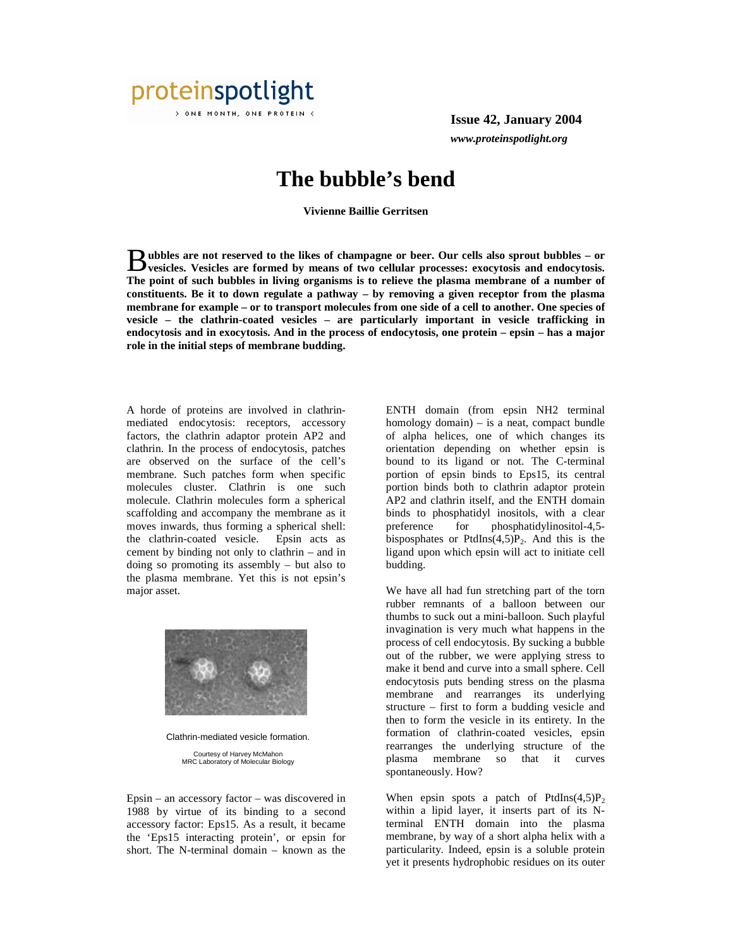

**Issue 42, January 2004** *www.proteinspotlight.org*

## **The bubble's bend**

**Vivienne Baillie Gerritsen** 

**ubbles are not reserved to the likes of champagne or beer. Our cells also sprout bubbles – or** Bubbles are not reserved to the likes of champagne or beer. Our cells also sprout bubbles – or vesicles. Vesicles are formed by means of two cellular processes: exocytosis and endocytosis. **The point of such bubbles in living organisms is to relieve the plasma membrane of a number of constituents. Be it to down regulate a pathway – by removing a given receptor from the plasma membrane for example – or to transport molecules from one side of a cell to another. One species of vesicle – the clathrin-coated vesicles – are particularly important in vesicle trafficking in endocytosis and in exocytosis. And in the process of endocytosis, one protein – epsin – has a major role in the initial steps of membrane budding.** 

A horde of proteins are involved in clathrinmediated endocytosis: receptors, accessory factors, the clathrin adaptor protein AP2 and clathrin. In the process of endocytosis, patches are observed on the surface of the cell's membrane. Such patches form when specific molecules cluster. Clathrin is one such molecule. Clathrin molecules form a spherical scaffolding and accompany the membrane as it moves inwards, thus forming a spherical shell: the clathrin-coated vesicle. Epsin acts as cement by binding not only to clathrin – and in doing so promoting its assembly – but also to the plasma membrane. Yet this is not epsin's major asset.



Clathrin-mediated vesicle formation. Courtesy of Harvey McMahon MRC Laboratory of Molecular Biology

Epsin – an accessory factor – was discovered in 1988 by virtue of its binding to a second accessory factor: Eps15. As a result, it became the 'Eps15 interacting protein', or epsin for short. The N-terminal domain – known as the

ENTH domain (from epsin NH2 terminal homology domain) – is a neat, compact bundle of alpha helices, one of which changes its orientation depending on whether epsin is bound to its ligand or not. The C-terminal portion of epsin binds to Eps15, its central portion binds both to clathrin adaptor protein AP2 and clathrin itself, and the ENTH domain binds to phosphatidyl inositols, with a clear preference for phosphatidylinositol-4,5 bisposphates or PtdIns $(4,5)P_2$ . And this is the ligand upon which epsin will act to initiate cell budding.

We have all had fun stretching part of the torn rubber remnants of a balloon between our thumbs to suck out a mini-balloon. Such playful invagination is very much what happens in the process of cell endocytosis. By sucking a bubble out of the rubber, we were applying stress to make it bend and curve into a small sphere. Cell endocytosis puts bending stress on the plasma membrane and rearranges its underlying structure – first to form a budding vesicle and then to form the vesicle in its entirety. In the formation of clathrin-coated vesicles, epsin rearranges the underlying structure of the plasma membrane so that it curves spontaneously. How?

When epsin spots a patch of PtdIns $(4,5)P_2$ within a lipid layer, it inserts part of its Nterminal ENTH domain into the plasma membrane, by way of a short alpha helix with a particularity. Indeed, epsin is a soluble protein yet it presents hydrophobic residues on its outer